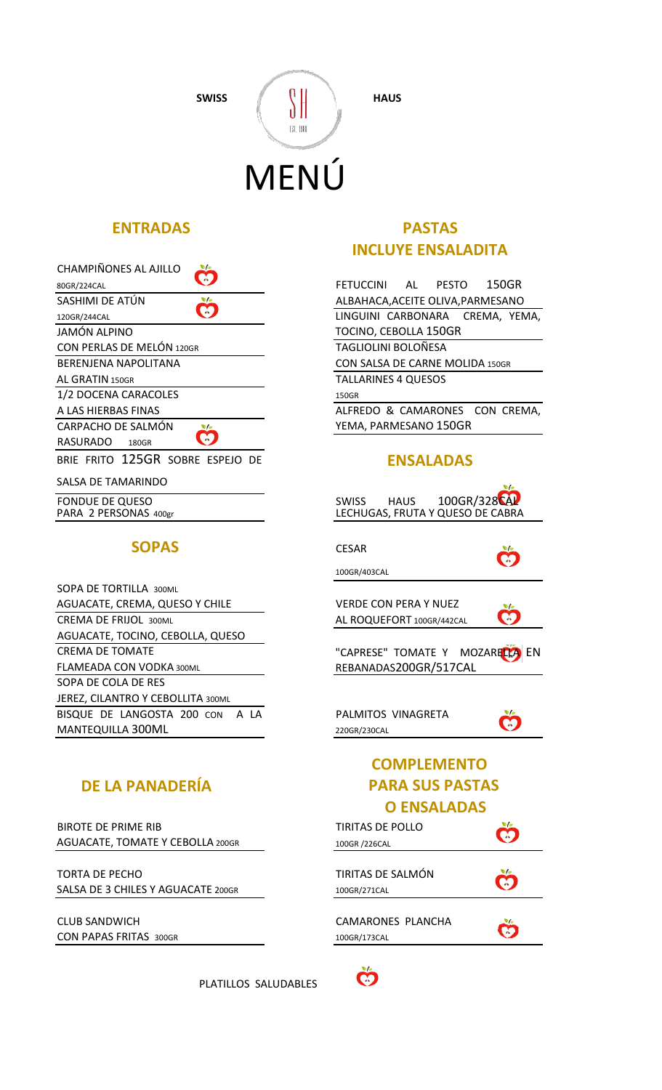SWISS  $\left( \begin{array}{c} 0 \\ 0 \end{array} \right)$  HAUS

# $\left\lVert \cdot \right\rVert$  .  $\left\lVert \cdot \right\rVert$ MENÚ

| CHAMPIÑONES AL AJILLO            |              |
|----------------------------------|--------------|
| 80GR/224CAL                      | FETL         |
| SASHIMI DE ATÚN<br>v             | ALBA         |
| 120GR/244CAL                     | LING         |
| JAMÓN ALPINO                     | <b>TOCI</b>  |
| CON PERLAS DE MELÓN 120GR        | TAGI         |
| BERENJENA NAPOLITANA             | <b>CON</b>   |
| AL GRATIN 150GR                  | TALL         |
| 1/2 DOCENA CARACOLES             | 150GR        |
| A LAS HIERBAS FINAS              | ALFR         |
| CARPACHO DE SALMÓN               | YEM.         |
| <b>RASURADO</b><br><b>180GR</b>  |              |
| BRIE FRITO 125GR SOBRE ESPEJO DE |              |
| SALSA DE TAMARINDO               |              |
| EONDLIE DE OLIECO                | <b>CIANG</b> |

JNDUE DE OUE PARA 2 PERSONAS 400gr

## **SOPAS**

| <b>SOPA DE TORTILLA 300ML</b>     |                           |
|-----------------------------------|---------------------------|
| AGUACATE, CREMA, QUESO Y CHILE    | VERDE CON PERA Y NUEZ     |
| <b>CREMA DE FRIJOL 300ML</b>      | AL ROQUEFORT 100GR/442CAL |
| AGUACATE, TOCINO, CEBOLLA, QUESO  |                           |
| <b>CREMA DE TOMATE</b>            | "CAPRESE" TOMATE Y N      |
| FLAMEADA CON VODKA 300ML          | REBANADAS200GR/517CA      |
| SOPA DE COLA DE RES               |                           |
| JEREZ, CILANTRO Y CEBOLLITA 300ML |                           |
| BISQUE DE LANGOSTA 200 CON A LA   | PALMITOS VINAGRETA        |
| MANTEQUILLA 300ML                 | 220GR/230CAL              |

## **DE LA PANADERÍA PARA SUS PASTAS**

BIROTE DE PRIME RIB AGUACATE, TOMATE Y CEBOLLA 200GR

TORTA DE PECHO SALSA DE 3 CHILES Y AGUACATE 200GR

CLUB SANDWICH CON PAPAS FRITAS 300GR

PLATILLOS SALUDABLES

## **ENTRADAS PASTAS INCLUYE ENSALADITA**

LINGUINI CARBONARA CREMA, YEMA, TOCINO, CEBOLLA 150GR TAGLIOLINI BOLOÑESA CON SALSA DE CARNE MOLIDA 150GR TALLARINES 4 QUESOS ALFREDO & CAMARONES CON CREMA, YEMA, PARMESANO 150GR FETUCCINI AL PESTO 150GR ALBAHACA,ACEITE OLIVA,PARMESANO

## **ENSALADAS**

| SWISS HAUS 100GR/328CAL<br>LECHUGAS, FRUTA Y QUESO DE CABRA | $\sqrt{2}$ |  |
|-------------------------------------------------------------|------------|--|
|                                                             |            |  |
| <b>CESAR</b>                                                |            |  |
| 100GR/403CAL                                                |            |  |
| <b>VERDE CON PERA Y NUEZ</b>                                |            |  |
| AL ROQUEFORT 100GR/442CAL                                   |            |  |
|                                                             |            |  |
| "CAPRESE" TOMATE Y MOZARELLA EN                             |            |  |
| REBANADAS200GR/517CAL                                       |            |  |
|                                                             |            |  |
|                                                             |            |  |
| PALMITOS VINAGRETA                                          |            |  |
| 220GR/230CAL                                                |            |  |
| <b>COMPLEMENTO</b>                                          |            |  |
| <b>PARA SUS PASTAS</b>                                      |            |  |
| <b>O ENSALADAS</b>                                          |            |  |
| <b>TIRITAS DE POLLO</b>                                     |            |  |
| 100GR / 226 CAL                                             |            |  |
|                                                             |            |  |
| TIRITAS DE SALMÓN                                           |            |  |
| 100GR/271CAL                                                |            |  |
|                                                             |            |  |
| <b>CAMARONES PLANCHA</b>                                    |            |  |
| 100GR/173CAL                                                |            |  |